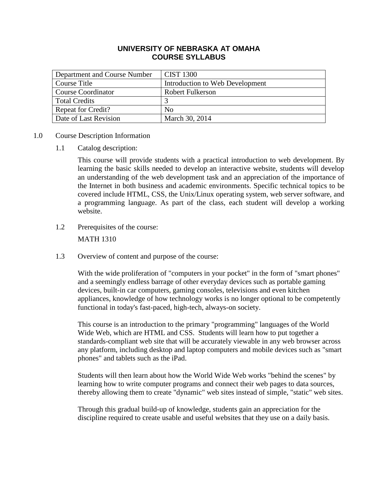# **UNIVERSITY OF NEBRASKA AT OMAHA COURSE SYLLABUS**

| Department and Course Number | <b>CIST 1300</b>                |
|------------------------------|---------------------------------|
| Course Title                 | Introduction to Web Development |
| <b>Course Coordinator</b>    | <b>Robert Fulkerson</b>         |
| <b>Total Credits</b>         |                                 |
| <b>Repeat for Credit?</b>    | N <sub>0</sub>                  |
| Date of Last Revision        | March 30, 2014                  |

## 1.0 Course Description Information

1.1 Catalog description:

This course will provide students with a practical introduction to web development. By learning the basic skills needed to develop an interactive website, students will develop an understanding of the web development task and an appreciation of the importance of the Internet in both business and academic environments. Specific technical topics to be covered include HTML, CSS, the Unix/Linux operating system, web server software, and a programming language. As part of the class, each student will develop a working website.

1.2 Prerequisites of the course:

MATH 1310

1.3 Overview of content and purpose of the course:

With the wide proliferation of "computers in your pocket" in the form of "smart phones" and a seemingly endless barrage of other everyday devices such as portable gaming devices, built-in car computers, gaming consoles, televisions and even kitchen appliances, knowledge of how technology works is no longer optional to be competently functional in today's fast-paced, high-tech, always-on society.

This course is an introduction to the primary "programming" languages of the World Wide Web, which are HTML and CSS. Students will learn how to put together a standards-compliant web site that will be accurately viewable in any web browser across any platform, including desktop and laptop computers and mobile devices such as "smart phones" and tablets such as the iPad.

Students will then learn about how the World Wide Web works "behind the scenes" by learning how to write computer programs and connect their web pages to data sources, thereby allowing them to create "dynamic" web sites instead of simple, "static" web sites.

Through this gradual build-up of knowledge, students gain an appreciation for the discipline required to create usable and useful websites that they use on a daily basis.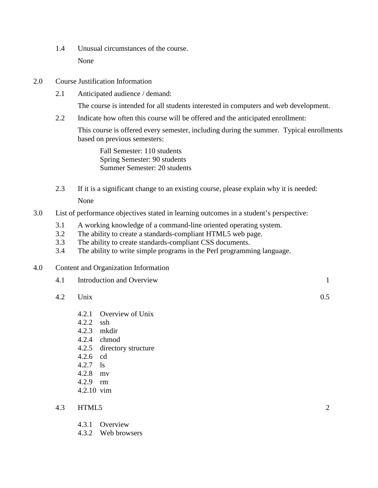- 1.4 Unusual circumstances of the course. None
- 2.0 Course Justification Information
	- 2.1 Anticipated audience / demand:

The course is intended for all students interested in computers and web development.

2.2 Indicate how often this course will be offered and the anticipated enrollment:

This course is offered every semester, including during the summer. Typical enrollments based on previous semesters:

Fall Semester: 110 students Spring Semester: 90 students Summer Semester: 20 students

- 2.3 If it is a significant change to an existing course, please explain why it is needed: None
- 3.0 List of performance objectives stated in learning outcomes in a student's perspective:
	- 3.1 A working knowledge of a command-line oriented operating system.
	- 3.2 The ability to create a standards-compliant HTML5 web page.
	- 3.3 The ability to create standards-compliant CSS documents.
	- 3.4 The ability to write simple programs in the Perl programming language.
- 4.0 Content and Organization Information

| 4.1 | Introduction and Overview |     |
|-----|---------------------------|-----|
| 4.2 | Unix                      | 0.5 |

- 4.2.1 Overview of Unix
- 4.2.2 ssh
- 4.2.3 mkdir
- 4.2.4 chmod
- 4.2.5 directory structure
- 4.2.6 cd
- 4.2.7 ls
- 4.2.8 mv
- 4.2.9 rm
- 4.2.10 vim

### 4.3 HTML5 2

- 4.3.1 Overview
- 4.3.2 Web browsers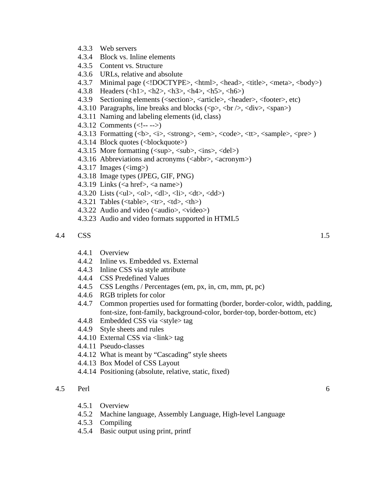- 4.3.3 Web servers
- 4.3.4 Block vs. Inline elements
- 4.3.5 Content vs. Structure
- 4.3.6 URLs, relative and absolute
- 4.3.7 Minimal page (<!DOCTYPE>, <html>, <head>, <title>, <meta>, <br/> <br/>body>)
- 4.3.8 Headers (<h1>, <h2>, <h3>, <h4>, <h5>, <h6>)
- 4.3.9 Sectioning elements (<section>, <article>, <header>, <footer>, etc)
- 4.3.10 Paragraphs, line breaks and blocks  $(\langle p \rangle, \langle br \rangle, \langle div \rangle, \langle span \rangle)$
- 4.3.11 Naming and labeling elements (id, class)
- 4.3.12 Comments  $\left(\langle -1, -1 \rangle\right)$
- 4.3.13 Formatting (<b>, <i>, <strong>, <em>, <code>, <tt>, <sample>, <pre> )
- 4.3.14 Block quotes (<br/>blockquote>)
- 4.3.15</del> More formatting  $(\langle \text{sup} \rangle, \langle \text{sub} \rangle, \langle \text{ins} \rangle, \langle \text{del} \rangle)$
- 4.3.16 Abbreviations and acronyms (<abbr>, <acronym>)
- 4.3.17 Images  $\langle \text{g} \rangle$
- 4.3.18 Image types (JPEG, GIF, PNG)
- 4.3.19 Links ( $\langle a \text{ href} \rangle$ ,  $\langle a \text{ name} \rangle$ )
- 4.3.20 Lists  $(\langle ul \rangle, \langle ol \rangle, \langle dl \rangle, \langle ll \rangle, \langle dl \rangle, \langle dl \rangle)$
- 4.3.21 Tables ( $ltable$ ),  $ltr$ ,  $ltd$ ),  $ltth$ )
- 4.3.22 Audio and video (<audio>, <video>)
- 4.3.23 Audio and video formats supported in HTML5

#### 4.4 CSS 1.5

- 4.4.1 Overview
- 4.4.2 Inline vs. Embedded vs. External
- 4.4.3 Inline CSS via style attribute
- 4.4.4 CSS Predefined Values
- 4.4.5 CSS Lengths / Percentages (em, px, in, cm, mm, pt, pc)
- 4.4.6 RGB triplets for color
- 4.4.7 Common properties used for formatting (border, border-color, width, padding, font-size, font-family, background-color, border-top, border-bottom, etc)
- 4.4.8 Embedded CSS via <style> tag
- 4.4.9 Style sheets and rules
- 4.4.10 External CSS via <link> tag
- 4.4.11 Pseudo-classes
- 4.4.12 What is meant by "Cascading" style sheets
- 4.4.13 Box Model of CSS Layout
- 4.4.14 Positioning (absolute, relative, static, fixed)

#### 4.5 Perl 6

- 4.5.1 Overview
- 4.5.2 Machine language, Assembly Language, High-level Language
- 4.5.3 Compiling
- 4.5.4 Basic output using print, printf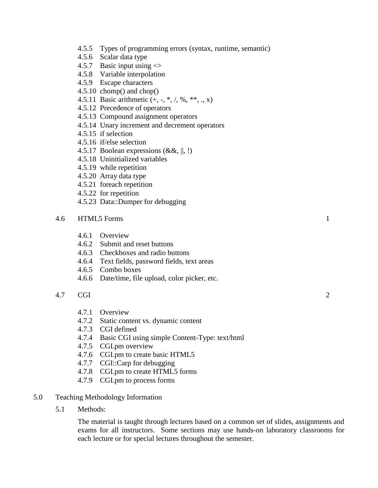- 4.5.5 Types of programming errors (syntax, runtime, semantic)
- 4.5.6 Scalar data type
- 4.5.7 Basic input using  $\ll$
- 4.5.8 Variable interpolation
- 4.5.9 Escape characters
- 4.5.10 chomp() and chop()
- 4.5.11 Basic arithmetic  $(+, -, *, /, %, **, ..., x)$
- 4.5.12 Precedence of operators
- 4.5.13 Compound assignment operators
- 4.5.14 Unary increment and decrement operators
- 4.5.15 if selection
- 4.5.16 if/else selection
- 4.5.17 Boolean expressions  $(\&\&\,,\,|,\,!)$
- 4.5.18 Uninitialized variables
- 4.5.19 while repetition
- 4.5.20 Array data type
- 4.5.21 foreach repetition
- 4.5.22 for repetition
- 4.5.23 Data::Dumper for debugging
- 4.6 HTML5 Forms 1
	- 4.6.1 Overview
	- 4.6.2 Submit and reset buttons
	- 4.6.3 Checkboxes and radio buttons
	- 4.6.4 Text fields, password fields, text areas
	- 4.6.5 Combo boxes
	- 4.6.6 Date/time, file upload, color picker, etc.

# 4.7 CGI 2

- 4.7.1 Overview
- 4.7.2 Static content vs. dynamic content
- 4.7.3 CGI defined
- 4.7.4 Basic CGI using simple Content-Type: text/html
- 4.7.5 CGI.pm overview
- 4.7.6 CGI.pm to create basic HTML5
- 4.7.7 CGI::Carp for debugging
- 4.7.8 CGI.pm to create HTML5 forms
- 4.7.9 CGI.pm to process forms

### 5.0 Teaching Methodology Information

5.1 Methods:

The material is taught through lectures based on a common set of slides, assignments and exams for all instructors. Some sections may use hands-on laboratory classrooms for each lecture or for special lectures throughout the semester.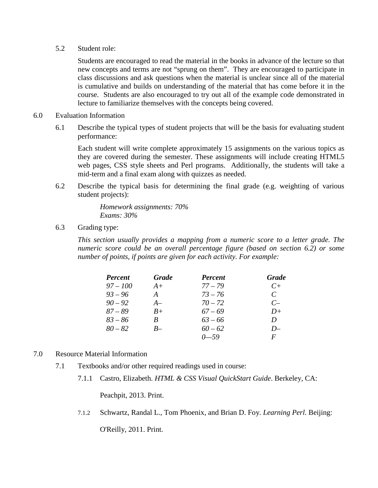# 5.2 Student role:

Students are encouraged to read the material in the books in advance of the lecture so that new concepts and terms are not "sprung on them". They are encouraged to participate in class discussions and ask questions when the material is unclear since all of the material is cumulative and builds on understanding of the material that has come before it in the course. Students are also encouraged to try out all of the example code demonstrated in lecture to familiarize themselves with the concepts being covered.

- 6.0 Evaluation Information
	- 6.1 Describe the typical types of student projects that will be the basis for evaluating student performance:

Each student will write complete approximately 15 assignments on the various topics as they are covered during the semester. These assignments will include creating HTML5 web pages, CSS style sheets and Perl programs. Additionally, the students will take a mid-term and a final exam along with quizzes as needed.

6.2 Describe the typical basis for determining the final grade (e.g. weighting of various student projects):

> *Homework assignments: 70% Exams: 30%*

6.3 Grading type:

*This section usually provides a mapping from a numeric score to a letter grade. The numeric score could be an overall percentage figure (based on section 6.2) or some number of points, if points are given for each activity. For example:*

| <b>Percent</b> | <b>Grade</b>  | <b>Percent</b> | Grade         |
|----------------|---------------|----------------|---------------|
| $97 - 100$     | $A+$          | $77 - 79$      | $C+$          |
| $93 - 96$      | $\mathcal{A}$ | $73 - 76$      | $\mathcal{C}$ |
| $90 - 92$      | $A-$          | $70 - 72$      | $C-$          |
| $87 - 89$      | $B+$          | $67 - 69$      | $D+$          |
| $83 - 86$      | B             | $63 - 66$      | D             |
| $80 - 82$      | $B-$          | $60 - 62$      | $D-$          |
|                |               | $0 - 59$       | F             |

# 7.0 Resource Material Information

- 7.1 Textbooks and/or other required readings used in course:
	- 7.1.1 Castro, Elizabeth. *HTML & CSS Visual QuickStart Guide*. Berkeley, CA:

Peachpit, 2013. Print.

7.1.2 Schwartz, Randal L., Tom Phoenix, and Brian D. Foy. *Learning Perl*. Beijing:

O'Reilly, 2011. Print.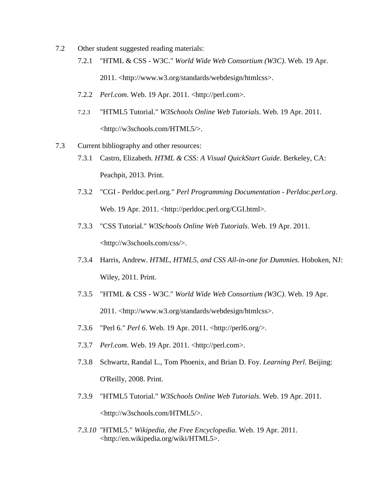- 7.2 Other student suggested reading materials:
	- 7.2.1 "HTML & CSS W3C." *World Wide Web Consortium (W3C)*. Web. 19 Apr. 2011. <http://www.w3.org/standards/webdesign/htmlcss>.
	- 7.2.2 *Perl.com*. Web. 19 Apr. 2011. <http://perl.com>.
	- 7.2.3 "HTML5 Tutorial." *W3Schools Online Web Tutorials*. Web. 19 Apr. 2011. <http://w3schools.com/HTML5/>.
- 7.3 Current bibliography and other resources: 7.3.1 Castro, Elizabeth. *HTML & CSS: A Visual QuickStart Guide*. Berkeley, CA:
	- Peachpit, 2013. Print.
	- 7.3.2 "CGI Perldoc.perl.org." *Perl Programming Documentation - Perldoc.perl.org*. Web. 19 Apr. 2011. <http://perldoc.perl.org/CGI.html>.
	- 7.3.3 "CSS Tutorial." *W3Schools Online Web Tutorials*. Web. 19 Apr. 2011. <http://w3schools.com/css/>.
	- 7.3.4 Harris, Andrew. *HTML, HTML5, and CSS All-in-one for Dummies*. Hoboken, NJ: Wiley, 2011. Print.
	- 7.3.5 "HTML & CSS W3C." *World Wide Web Consortium (W3C)*. Web. 19 Apr. 2011. <http://www.w3.org/standards/webdesign/htmlcss>.
	- 7.3.6 "Perl 6." *Perl 6*. Web. 19 Apr. 2011. <http://perl6.org/>.
	- 7.3.7 *Perl.com*. Web. 19 Apr. 2011. <http://perl.com>.
	- 7.3.8 Schwartz, Randal L., Tom Phoenix, and Brian D. Foy. *Learning Perl*. Beijing: O'Reilly, 2008. Print.
	- 7.3.9 "HTML5 Tutorial." *W3Schools Online Web Tutorials*. Web. 19 Apr. 2011. <http://w3schools.com/HTML5/>.
	- *7.3.10* "HTML5." *Wikipedia, the Free Encyclopedia*. Web. 19 Apr. 2011. <http://en.wikipedia.org/wiki/HTML5>.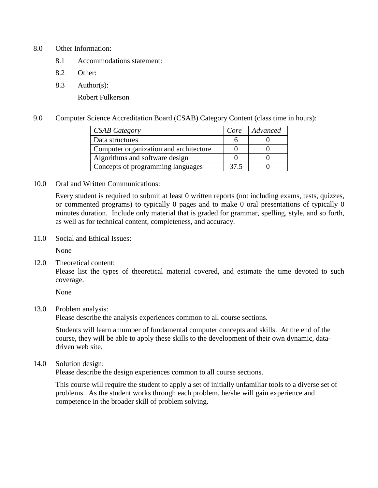## 8.0 Other Information:

- 8.1 Accommodations statement:
- 8.2 Other:
- 8.3 Author(s):

Robert Fulkerson

9.0 Computer Science Accreditation Board (CSAB) Category Content (class time in hours):

| <b>CSAB Category</b>                   | Core | Advanced |
|----------------------------------------|------|----------|
| Data structures                        |      |          |
| Computer organization and architecture |      |          |
| Algorithms and software design         |      |          |
| Concepts of programming languages      | 37.5 |          |

10.0 Oral and Written Communications:

Every student is required to submit at least 0 written reports (not including exams, tests, quizzes, or commented programs) to typically 0 pages and to make 0 oral presentations of typically 0 minutes duration. Include only material that is graded for grammar, spelling, style, and so forth, as well as for technical content, completeness, and accuracy.

11.0 Social and Ethical Issues:

None

12.0 Theoretical content:

Please list the types of theoretical material covered, and estimate the time devoted to such coverage.

None

# 13.0 Problem analysis:

Please describe the analysis experiences common to all course sections.

Students will learn a number of fundamental computer concepts and skills. At the end of the course, they will be able to apply these skills to the development of their own dynamic, datadriven web site.

14.0 Solution design:

Please describe the design experiences common to all course sections.

This course will require the student to apply a set of initially unfamiliar tools to a diverse set of problems. As the student works through each problem, he/she will gain experience and competence in the broader skill of problem solving.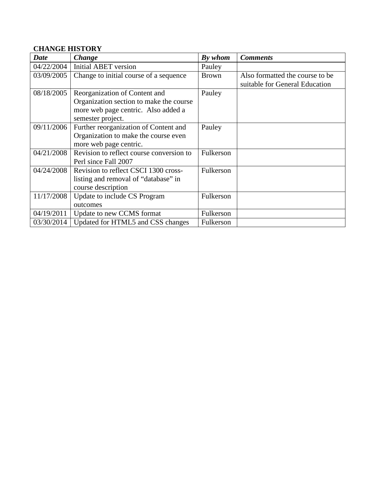# **CHANGE HISTORY**

| Date       | <b>Change</b>                                                                                                                        | By whom      | <b>Comments</b>                                                    |
|------------|--------------------------------------------------------------------------------------------------------------------------------------|--------------|--------------------------------------------------------------------|
| 04/22/2004 | Initial ABET version                                                                                                                 | Pauley       |                                                                    |
| 03/09/2005 | Change to initial course of a sequence                                                                                               | <b>Brown</b> | Also formatted the course to be.<br>suitable for General Education |
| 08/18/2005 | Reorganization of Content and<br>Organization section to make the course<br>more web page centric. Also added a<br>semester project. | Pauley       |                                                                    |
| 09/11/2006 | Further reorganization of Content and<br>Organization to make the course even<br>more web page centric.                              | Pauley       |                                                                    |
| 04/21/2008 | Revision to reflect course conversion to<br>Perl since Fall 2007                                                                     | Fulkerson    |                                                                    |
| 04/24/2008 | Revision to reflect CSCI 1300 cross-<br>listing and removal of "database" in<br>course description                                   | Fulkerson    |                                                                    |
| 11/17/2008 | Update to include CS Program<br>outcomes                                                                                             | Fulkerson    |                                                                    |
| 04/19/2011 | Update to new CCMS format                                                                                                            | Fulkerson    |                                                                    |
| 03/30/2014 | Updated for HTML5 and CSS changes                                                                                                    | Fulkerson    |                                                                    |